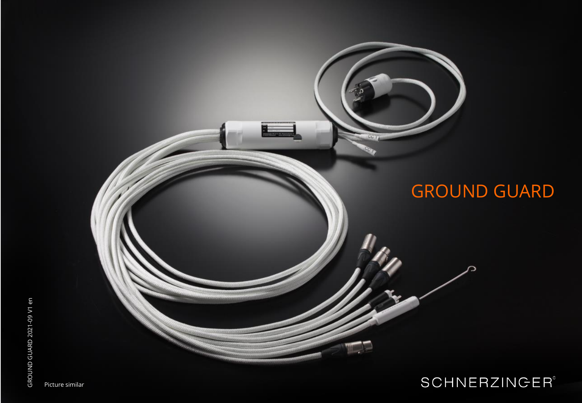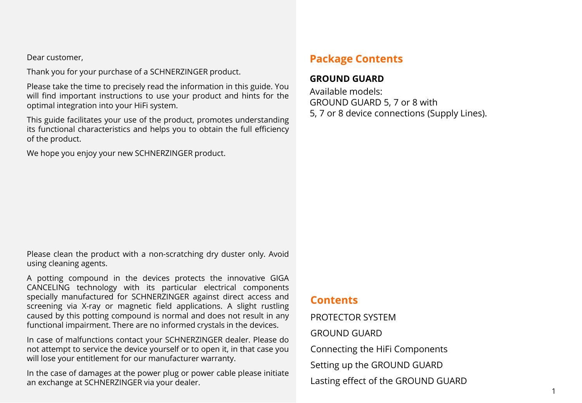Dear customer,

Thank you for your purchase of a SCHNERZINGER product.

Please take the time to precisely read the information in this guide. You will find important instructions to use your product and hints for the optimal integration into your HiFi system.

This guide facilitates your use of the product, promotes understanding its functional characteristics and helps you to obtain the full efficiency of the product.

We hope you enjoy your new SCHNERZINGER product.

Please clean the product with a non-scratching dry duster only. Avoid using cleaning agents.

A potting compound in the devices protects the innovative GIGA CANCELING technology with its particular electrical components specially manufactured for SCHNERZINGER against direct access and screening via X-ray or magnetic field applications. A slight rustling caused by this potting compound is normal and does not result in any functional impairment. There are no informed crystals in the devices.

In case of malfunctions contact your SCHNERZINGER dealer. Please do not attempt to service the device yourself or to open it, in that case you will lose your entitlement for our manufacturer warranty.

In the case of damages at the power plug or power cable please initiate an exchange at SCHNERZINGER via your dealer.

# **Package Contents**

#### **GROUND GUARD**

Available models: GROUND GUARD 5, 7 or 8 with 5, 7 or 8 device connections (Supply Lines).

### **Contents**

PROTECTOR SYSTEM GROUND GUARD Connecting the HiFi Components Setting up the GROUND GUARD Lasting effect of the GROUND GUARD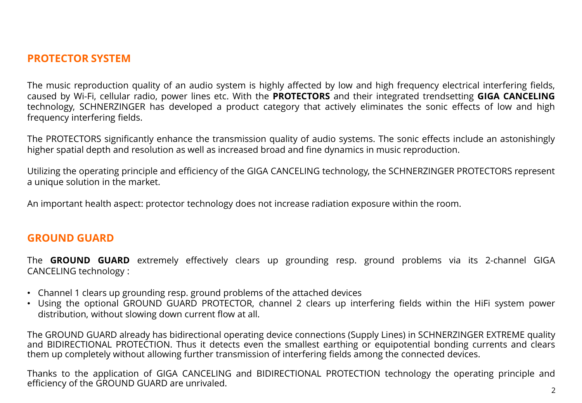## **PROTECTOR SYSTEM**

The music reproduction quality of an audio system is highly affected by low and high frequency electrical interfering fields, caused by Wi-Fi, cellular radio, power lines etc. With the **PROTECTORS** and their integrated trendsetting **GIGA CANCELING** technology, SCHNERZINGER has developed a product category that actively eliminates the sonic effects of low and high frequency interfering fields.

The PROTECTORS significantly enhance the transmission quality of audio systems. The sonic effects include an astonishingly higher spatial depth and resolution as well as increased broad and fine dynamics in music reproduction.

Utilizing the operating principle and efficiency of the GIGA CANCELING technology, the SCHNERZINGER PROTECTORS represent a unique solution in the market.

An important health aspect: protector technology does not increase radiation exposure within the room.

## **GROUND GUARD**

The **GROUND GUARD** extremely effectively clears up grounding resp. ground problems via its 2-channel GIGA CANCELING technology :

- Channel 1 clears up grounding resp. ground problems of the attached devices
- Using the optional GROUND GUARD PROTECTOR, channel 2 clears up interfering fields within the HiFi system power distribution, without slowing down current flow at all.

The GROUND GUARD already has bidirectional operating device connections (Supply Lines) in SCHNERZINGER EXTREME quality and BIDIRECTIONAL PROTECTION. Thus it detects even the smallest earthing or equipotential bonding currents and clears them up completely without allowing further transmission of interfering fields among the connected devices.

Thanks to the application of GIGA CANCELING and BIDIRECTIONAL PROTECTION technology the operating principle and efficiency of the GROUND GUARD are unrivaled.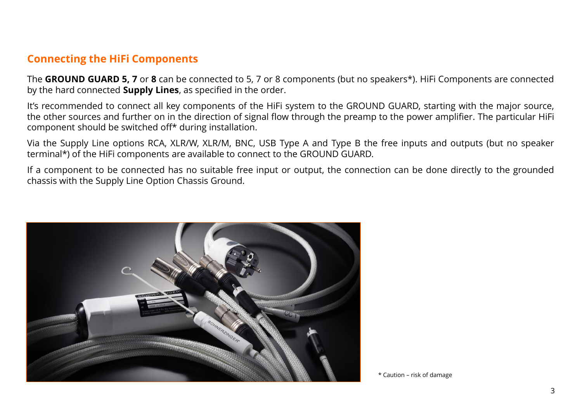# **Connecting the HiFi Components**

The **GROUND GUARD 5, 7** or **8** can be connected to 5, 7 or 8 components (but no speakers\*). HiFi Components are connected by the hard connected **Supply Lines**, as specified in the order.

It's recommended to connect all key components of the HiFi system to the GROUND GUARD, starting with the major source, the other sources and further on in the direction of signal flow through the preamp to the power amplifier. The particular HiFi component should be switched off\* during installation.

Via the Supply Line options RCA, XLR/W, XLR/M, BNC, USB Type A and Type B the free inputs and outputs (but no speaker terminal\*) of the HiFi components are available to connect to the GROUND GUARD.

If a component to be connected has no suitable free input or output, the connection can be done directly to the grounded chassis with the Supply Line Option Chassis Ground.



\* Caution – risk of damage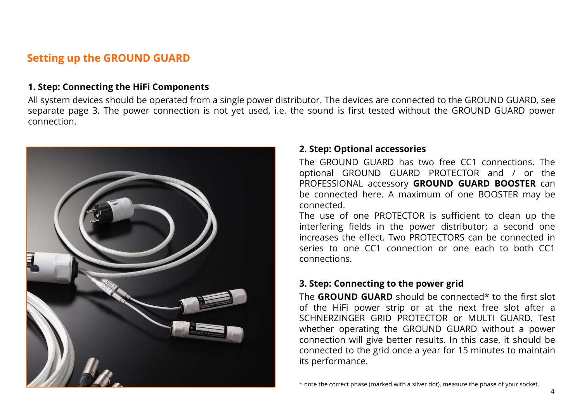# **Setting up the GROUND GUARD**

#### **1. Step: Connecting the HiFi Components**

All system devices should be operated from a single power distributor. The devices are connected to the GROUND GUARD, see separate page 3. The power connection is not yet used, i.e. the sound is first tested without the GROUND GUARD power connection.



#### **2. Step: Optional accessories**

The GROUND GUARD has two free CC1 connections. The optional GROUND GUARD PROTECTOR and / or the PROFESSIONAL accessory **GROUND GUARD BOOSTER** can be connected here. A maximum of one BOOSTER may be connected.

The use of one PROTECTOR is sufficient to clean up the interfering fields in the power distributor; a second one increases the effect. Two PROTECTORS can be connected in series to one CC1 connection or one each to both CC1 connections.

### **3. Step: Connecting to the power grid**

The **GROUND GUARD** should be connected\* to the first slot of the HiFi power strip or at the next free slot after a SCHNERZINGER GRID PROTECTOR or MULTI GUARD. Test whether operating the GROUND GUARD without a power connection will give better results. In this case, it should be connected to the grid once a year for 15 minutes to maintain its performance.

<sup>\*</sup> note the correct phase (marked with a silver dot), measure the phase of your socket.